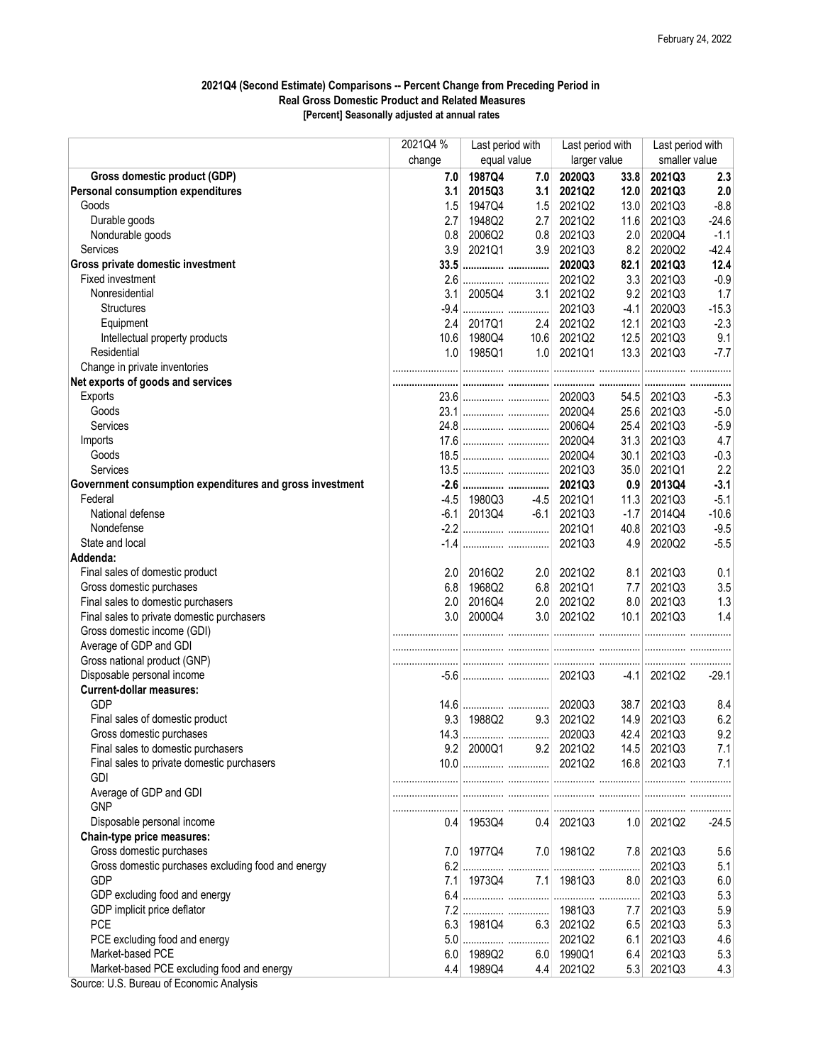## 2021Q4 (Second Estimate) Comparisons -- Percent Change from Preceding Period in Real Gross Domestic Product and Related Measures [Percent] Seasonally adjusted at annual rates

|                                                                                         | 2021Q4 %   | Last period with |     | Last period with |        | Last period with |         |
|-----------------------------------------------------------------------------------------|------------|------------------|-----|------------------|--------|------------------|---------|
|                                                                                         | change     | equal value      |     | larger value     |        | smaller value    |         |
| Gross domestic product (GDP)                                                            | 7.0        | 1987Q4           | 7.0 | 2020Q3           | 33.8   | 2021Q3           | 2.3     |
| <b>Personal consumption expenditures</b>                                                | 3.1        | 2015Q3           | 3.1 | 2021Q2           | 12.0   | 2021Q3           | 2.0     |
| Goods                                                                                   | 1.5        | 1947Q4           | 1.5 | 2021Q2           | 13.0   | 2021Q3           | $-8.8$  |
| Durable goods                                                                           | 2.7        | 1948Q2           | 2.7 | 2021Q2           | 11.6   | 2021Q3           | $-24.6$ |
| Nondurable goods                                                                        | 0.8        | 2006Q2           | 0.8 | 2021Q3           | 2.0    | 2020Q4           | $-1.1$  |
| <b>Services</b>                                                                         | 3.9        | 2021Q1           | 3.9 | 2021Q3           | 8.2    | 2020Q2           | $-42.4$ |
| Gross private domestic investment                                                       |            | 33.5             |     | 2020Q3           | 82.1   | 2021Q3           | 12.4    |
| Fixed investment                                                                        |            |                  |     | 2021Q2           | 3.3    | 2021Q3           | $-0.9$  |
| Nonresidential                                                                          | 3.1        | 2005Q4           | 3.1 | 2021Q2           | 9.2    | 2021Q3           | 1.7     |
| <b>Structures</b>                                                                       | $-9.4$     |                  |     | 2021Q3           | $-4.1$ | 2020Q3           | $-15.3$ |
| Equipment                                                                               | 2.4        | 2017Q1           | 2.4 | 2021Q2           | 12.1   | 2021Q3           | $-2.3$  |
| Intellectual property products                                                          |            | 10.6 1980Q4      |     | 10.6 2021Q2      | 12.5   | 2021Q3           | 9.1     |
| Residential                                                                             |            | 1.0 1985Q1       |     | $1.0$ 2021Q1     | 13.3   | 2021Q3           | $-7.7$  |
| Change in private inventories                                                           |            |                  |     |                  |        |                  |         |
| Net exports of goods and services                                                       |            |                  |     |                  |        |                  |         |
| Exports                                                                                 |            |                  |     |                  | 54.5   | 2021Q3           | $-5.3$  |
| Goods                                                                                   |            |                  |     |                  | 25.6   | 2021Q3           | $-5.0$  |
| Services                                                                                |            |                  |     |                  | 25.4   | 2021Q3           | $-5.9$  |
| Imports                                                                                 |            |                  |     |                  | 31.3   | 2021Q3           | 4.7     |
| Goods                                                                                   |            |                  |     | 2020Q4           | 30.1   | 2021Q3           | $-0.3$  |
| Services                                                                                |            |                  |     | 2021Q3           | 35.0   | 2021Q1           | 2.2     |
| Government consumption expenditures and gross investment                                |            |                  |     | 2021Q3           | 0.9    | 2013Q4           | $-3.1$  |
| Federal                                                                                 |            | -4.5 1980Q3      |     | $-4.5$ 2021Q1    | 11.3   | 2021Q3           | $-5.1$  |
| National defense                                                                        |            | $-6.1$ 2013Q4    |     | $-6.1$ 2021Q3    | $-1.7$ | 2014Q4           | $-10.6$ |
| Nondefense                                                                              |            |                  |     | 2021Q1           | 40.8   | 2021Q3           | $-9.5$  |
| State and local                                                                         |            |                  |     | 2021Q3           | 4.9    | 2020Q2           | $-5.5$  |
| Addenda:                                                                                |            |                  |     |                  |        |                  |         |
| Final sales of domestic product                                                         | 2.0        | 2016Q2           | 2.0 | 2021Q2           | 8.1    | 2021Q3           | 0.1     |
| Gross domestic purchases                                                                |            | 6.8 1968Q2       | 6.8 | 2021Q1           | 7.7    | 2021Q3           | 3.5     |
| Final sales to domestic purchasers                                                      | 2.0        | 2016Q4           |     | 2.0 2021Q2       | 8.0    | 2021Q3           | 1.3     |
| Final sales to private domestic purchasers                                              |            | 3.0 2000Q4       |     | 3.0 2021Q2       | 10.1   | 2021Q3           | 1.4     |
| Gross domestic income (GDI)                                                             |            |                  |     |                  |        |                  |         |
| Average of GDP and GDI                                                                  |            |                  |     |                  |        |                  |         |
| Gross national product (GNP)                                                            |            |                  |     |                  |        |                  |         |
| Disposable personal income                                                              |            |                  |     |                  |        | $-4.1$ 2021Q2    | $-29.1$ |
| <b>Current-dollar measures:</b>                                                         |            |                  |     |                  |        |                  |         |
| GDP                                                                                     |            |                  |     | 2020Q3           | 38.7   | 2021Q3           | 8.4     |
| Final sales of domestic product                                                         | 9.3        | 1988Q2           | 9.3 | 2021Q2           | 14.9   | 2021Q3           | 6.2     |
| Gross domestic purchases                                                                |            |                  |     | 2020Q3           | 42.4   | 2021Q3           | 9.2     |
| Final sales to domestic purchasers                                                      |            | $9.2$ 2000Q1     |     | 9.2 2021Q2       | 14.5   | 2021Q3           | 7.1     |
| Final sales to private domestic purchasers                                              |            |                  |     | 2021Q2           |        | 16.8 2021Q3      | 7.1     |
| <b>GDI</b>                                                                              |            |                  |     |                  |        |                  |         |
| Average of GDP and GDI                                                                  |            |                  |     |                  |        |                  |         |
| <b>GNP</b>                                                                              |            |                  |     |                  |        |                  |         |
|                                                                                         |            |                  |     |                  |        |                  |         |
| Disposable personal income                                                              | 0.4        | 1953Q4           |     | $0.4$ 2021Q3     |        | $1.0$ 2021Q2     | $-24.5$ |
| Chain-type price measures:                                                              |            |                  |     |                  |        |                  |         |
| Gross domestic purchases                                                                |            | 7.0 1977Q4       | 7.0 | 1981Q2           | 7.8    | 2021Q3           | 5.6     |
| Gross domestic purchases excluding food and energy<br><b>GDP</b>                        | 6.2        |                  |     |                  |        | 2021Q3           | 5.1     |
| GDP excluding food and energy                                                           | 7.1<br>6.4 | 1973Q4           | 7.1 | 1981Q3           | 8.0    | 2021Q3           | 6.0     |
|                                                                                         |            |                  |     |                  |        | 2021Q3           | 5.3     |
| GDP implicit price deflator                                                             |            |                  |     | 1981Q3           | 7.7    | 2021Q3           | 5.9     |
| <b>PCE</b>                                                                              |            | 6.3 1981Q4       |     | 6.3 2021Q2       | 6.5    | 2021Q3           | 5.3     |
| PCE excluding food and energy                                                           |            |                  |     | 2021Q2           | 6.1    | 2021Q3           | 4.6     |
| Market-based PCE                                                                        | 6.0        | 1989Q2           | 6.0 | 1990Q1           | 6.4    | 2021Q3           | 5.3     |
| Market-based PCE excluding food and energy<br>Course: LLC Dursou of Essenantia Anglysia | 4.4        | 1989Q4           | 4.4 | 2021Q2           | 5.3    | 2021Q3           | 4.3     |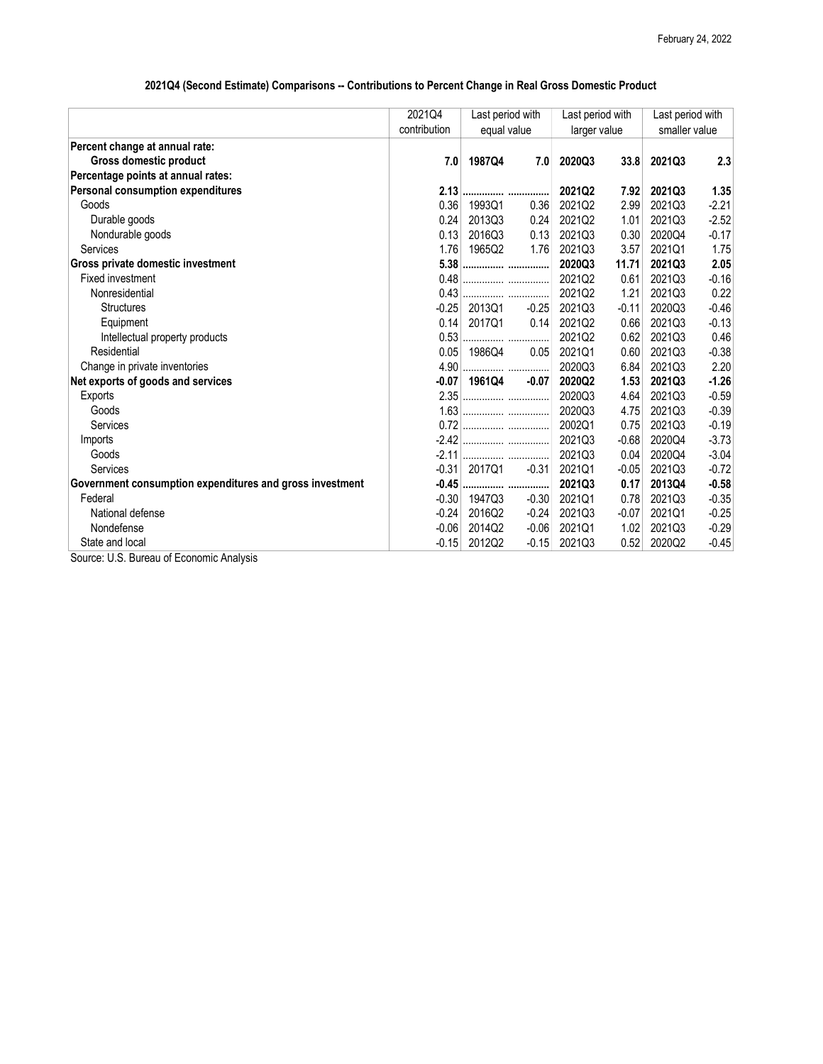## 2021Q4 (Second Estimate) Comparisons -- Contributions to Percent Change in Real Gross Domestic Product

|                                                          | 2021Q4       | Last period with |                  | Last period with |         | Last period with |         |
|----------------------------------------------------------|--------------|------------------|------------------|------------------|---------|------------------|---------|
|                                                          | contribution | equal value      |                  | larger value     |         | smaller value    |         |
| Percent change at annual rate:                           |              |                  |                  |                  |         |                  |         |
| Gross domestic product                                   | 7.0          | 1987Q4           | 7.0 <sub>1</sub> | 2020Q3           | 33.8    | 2021Q3           | 2.3     |
| Percentage points at annual rates:                       |              |                  |                  |                  |         |                  |         |
| Personal consumption expenditures                        |              | 2.13             |                  | 2021Q2           | 7.92    | 2021Q3           | 1.35    |
| Goods                                                    | 0.36         | 1993Q1           | 0.36             | 2021Q2           | 2.99    | 2021Q3           | $-2.21$ |
| Durable goods                                            | 0.24         | 2013Q3           | 0.24             | 2021Q2           | 1.01    | 2021Q3           | $-2.52$ |
| Nondurable goods                                         | 0.13         | 2016Q3           | 0.13             | 2021Q3           | 0.30    | 2020Q4           | $-0.17$ |
| Services                                                 | 1.76         | 1965Q2           | 1.76             | 2021Q3           | 3.57    | 2021Q1           | 1.75    |
| Gross private domestic investment                        |              | 5.38             |                  | 2020Q3           | 11.71   | 2021Q3           | 2.05    |
| Fixed investment                                         | 0.48         |                  |                  | 2021Q2           | 0.61    | 2021Q3           | $-0.16$ |
| Nonresidential                                           | 0.43         |                  |                  | 2021Q2           | 1.21    | 2021Q3           | 0.22    |
| <b>Structures</b>                                        | $-0.25$      | 2013Q1           | $-0.25$          | 2021Q3           | $-0.11$ | 2020Q3           | $-0.46$ |
| Equipment                                                | 0.14         | 2017Q1           | 0.14             | 2021Q2           | 0.66    | 2021Q3           | $-0.13$ |
| Intellectual property products                           | 0.53         |                  |                  | 2021Q2           | 0.62    | 2021Q3           | 0.46    |
| Residential                                              | 0.05         | 1986Q4           | 0.05             | 2021Q1           | 0.60    | 2021Q3           | $-0.38$ |
| Change in private inventories                            | 4.90         |                  |                  | 2020Q3           | 6.84    | 2021Q3           | 2.20    |
| Net exports of goods and services                        | $-0.07$      | 1961Q4           | $-0.07$          | 2020Q2           | 1.53    | 2021Q3           | $-1.26$ |
| Exports                                                  |              |                  |                  | 2020Q3           | 4.64    | 2021Q3           | $-0.59$ |
| Goods                                                    |              |                  |                  | 2020Q3           | 4.75    | 2021Q3           | $-0.39$ |
| Services                                                 |              |                  |                  | 2002Q1           | 0.75    | 2021Q3           | $-0.19$ |
| Imports                                                  |              |                  |                  | 2021Q3           | $-0.68$ | 2020Q4           | $-3.73$ |
| Goods                                                    | $-2.11$      |                  |                  | 2021Q3           | 0.04    | 2020Q4           | $-3.04$ |
| Services                                                 | $-0.31$      | 2017Q1           | $-0.31$          | 2021Q1           | $-0.05$ | 2021Q3           | $-0.72$ |
| Government consumption expenditures and gross investment | $-0.45$      |                  |                  | 2021Q3           | 0.17    | 2013Q4           | $-0.58$ |
| Federal                                                  | $-0.30$      | 1947Q3           | $-0.30$          | 2021Q1           | 0.78    | 2021Q3           | $-0.35$ |
| National defense                                         | $-0.24$      | 2016Q2           | $-0.24$          | 2021Q3           | $-0.07$ | 2021Q1           | $-0.25$ |
| Nondefense                                               | $-0.06$      | 2014Q2           | $-0.06$          | 2021Q1           | 1.02    | 2021Q3           | $-0.29$ |
| State and local                                          | $-0.15$      | 2012Q2           | $-0.15$          | 2021Q3           | 0.52    | 2020Q2           | $-0.45$ |
| Course LLC, Dursou of Essessois Anglusis                 |              |                  |                  |                  |         |                  |         |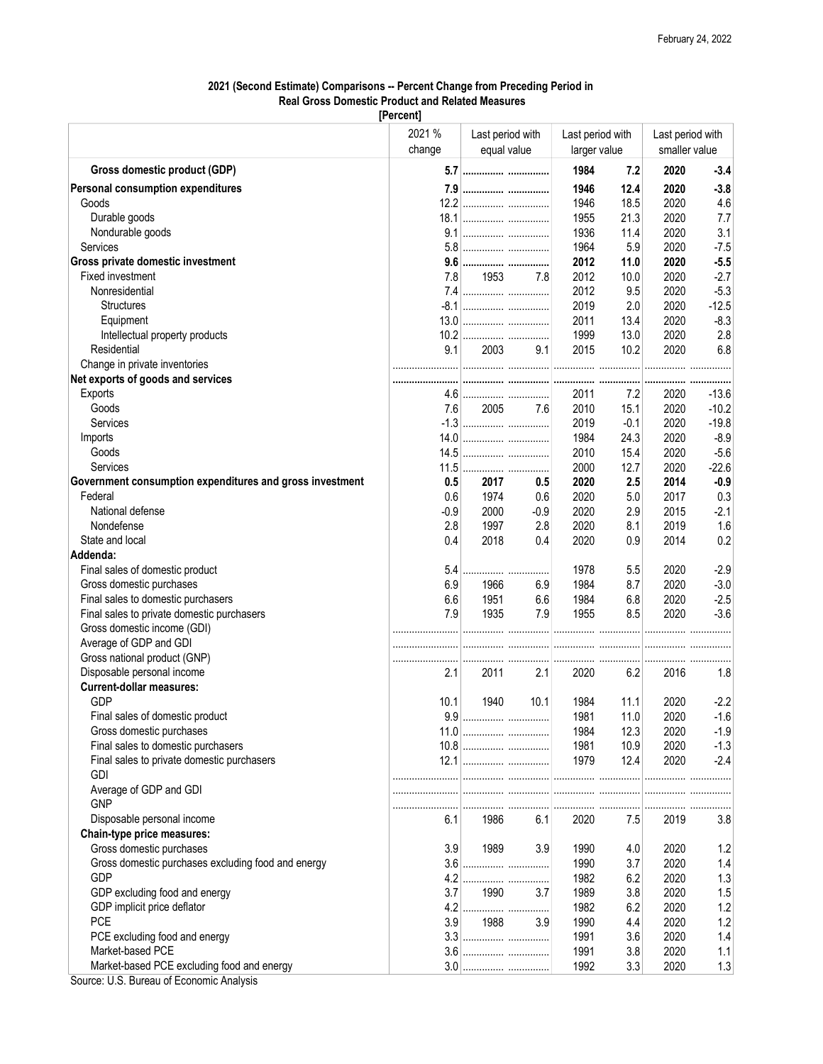## 2021 (Second Estimate) Comparisons -- Percent Change from Preceding Period in Real Gross Domestic Product and Related Measures

[Percent]

|                                                          | 2021 %<br>change | Last period with<br>equal value |          | Last period with<br>larger value |        | Last period with<br>smaller value |         |
|----------------------------------------------------------|------------------|---------------------------------|----------|----------------------------------|--------|-----------------------------------|---------|
| Gross domestic product (GDP)                             |                  | 5.7                             |          | 1984                             | 7.2    | 2020                              | $-3.4$  |
| <b>Personal consumption expenditures</b>                 |                  | 7.9                             |          | 1946                             | 12.4   | 2020                              | $-3.8$  |
| Goods                                                    |                  |                                 |          | 1946                             | 18.5   | 2020                              | 4.6     |
| Durable goods                                            |                  |                                 |          | 1955                             | 21.3   | 2020                              | 7.7     |
| Nondurable goods                                         |                  |                                 |          | 1936                             | 11.4   | 2020                              | 3.1     |
| Services                                                 |                  |                                 |          | 1964                             | 5.9    | 2020                              | $-7.5$  |
| Gross private domestic investment                        |                  |                                 |          | 2012                             | 11.0   | 2020                              | $-5.5$  |
| Fixed investment                                         | 7.8              | 1953 — 19                       | 7.8      | 2012                             | 10.0   | 2020                              | $-2.7$  |
| Nonresidential                                           |                  |                                 |          | 2012                             | 9.5    | 2020                              | $-5.3$  |
| <b>Structures</b>                                        |                  |                                 |          | 2019                             | 2.0    | 2020                              | $-12.5$ |
| Equipment                                                |                  |                                 |          | 2011                             | 13.4   | 2020                              | $-8.3$  |
| Intellectual property products                           |                  |                                 |          | 1999                             | 13.0   | 2020                              | 2.8     |
| Residential                                              | 9.1              | 2003                            | 9.1      | 2015                             | 10.2   | 2020                              | 6.8     |
| Change in private inventories                            |                  |                                 |          |                                  |        |                                   |         |
| Net exports of goods and services                        |                  |                                 |          |                                  |        |                                   |         |
| Exports                                                  |                  |                                 |          | 2011                             | 7.2    | 2020                              | $-13.6$ |
| Goods                                                    | 7.61             |                                 | 2005 7.6 | 2010                             | 15.1   | 2020                              | $-10.2$ |
| Services                                                 |                  |                                 |          | 2019                             | $-0.1$ | 2020                              | $-19.8$ |
| Imports                                                  |                  |                                 |          | 1984                             | 24.3   | 2020                              | $-8.9$  |
| Goods                                                    |                  |                                 |          | 2010                             | 15.4   | 2020                              | $-5.6$  |
| Services                                                 |                  |                                 |          | 2000                             | 12.7   | 2020                              | $-22.6$ |
| Government consumption expenditures and gross investment | 0.5              | 2017                            | 0.5      | 2020                             | 2.5    | 2014                              | $-0.9$  |
| Federal                                                  | 0.6              | 1974                            | 0.6      | 2020                             | 5.0    | 2017                              | 0.3     |
| National defense                                         | $-0.9$           | 2000                            | $-0.9$   | 2020                             | 2.9    | 2015                              | $-2.1$  |
| Nondefense                                               | 2.8              | 1997                            | 2.8      | 2020                             | 8.1    | 2019                              | 1.6     |
| State and local                                          | 0.4              | 2018                            | 0.4      | 2020                             | 0.9    | 2014                              | 0.2     |
| Addenda:                                                 |                  |                                 |          |                                  |        |                                   |         |
| Final sales of domestic product                          | 5.4              |                                 |          | 1978                             | 5.5    | 2020                              | $-2.9$  |
| Gross domestic purchases                                 | 6.9              | 1966                            | 6.9      | 1984                             | 8.7    | 2020                              | $-3.0$  |
| Final sales to domestic purchasers                       | 6.6              | 1951                            | 6.6      | 1984                             | 6.8    | 2020                              | $-2.5$  |
| Final sales to private domestic purchasers               | 7.9              | 1935                            | 7.9      | 1955                             | 8.5    | 2020                              | $-3.6$  |
|                                                          |                  |                                 |          |                                  |        |                                   |         |
| Gross domestic income (GDI)                              |                  |                                 |          |                                  |        |                                   |         |
| Average of GDP and GDI                                   |                  |                                 |          |                                  |        |                                   |         |
| Gross national product (GNP)                             |                  |                                 |          |                                  |        |                                   |         |
| Disposable personal income                               | 2.1              | 2011                            | 2.1      | 2020                             | 6.2    | 2016                              | 1.8     |
| <b>Current-dollar measures:</b><br><b>GDP</b>            |                  |                                 |          |                                  |        |                                   |         |
|                                                          | 10.1             | 1940                            | 10.1     | 1984                             | 11.1   | 2020                              | $-2.2$  |
| Final sales of domestic product                          |                  |                                 |          | 1981                             | 11.0   | 2020                              | $-1.6$  |
| Gross domestic purchases                                 |                  |                                 |          | 1984                             | 12.3   | 2020                              | $-1.9$  |
| Final sales to domestic purchasers                       |                  |                                 |          | 1981                             | 10.9   | 2020                              | $-1.3$  |
| Final sales to private domestic purchasers               |                  |                                 |          | 1979                             | 12.4   | 2020                              | $-2.4$  |
| <b>GDI</b>                                               |                  |                                 |          |                                  |        |                                   |         |
| Average of GDP and GDI<br><b>GNP</b>                     |                  |                                 |          |                                  |        |                                   |         |
|                                                          |                  |                                 |          |                                  |        |                                   |         |
| Disposable personal income                               | 6.1              | 1986                            | 6.1      | 2020                             | 7.5    | 2019                              | 3.8     |
| Chain-type price measures:                               |                  |                                 |          |                                  |        |                                   |         |
| Gross domestic purchases                                 | 3.9              | 1989                            | 3.9      | 1990                             | 4.0    | 2020                              | 1.2     |
| Gross domestic purchases excluding food and energy       |                  |                                 |          | 1990                             | 3.7    | 2020                              | 1.4     |
| <b>GDP</b>                                               |                  |                                 |          | 1982                             | 6.2    | 2020                              | 1.3     |
| GDP excluding food and energy                            | 3.7              | 1990                            | 3.7      | 1989                             | 3.8    | 2020                              | 1.5     |
| GDP implicit price deflator                              |                  |                                 |          | 1982                             | 6.2    | 2020                              | 1.2     |
| <b>PCE</b>                                               | 3.9              | 1988                            | 3.9      | 1990                             | 4.4    | 2020                              | 1.2     |
| PCE excluding food and energy                            |                  |                                 |          | 1991                             | 3.6    | 2020                              | 1.4     |
| Market-based PCE                                         |                  |                                 |          | 1991                             | 3.8    | 2020                              | 1.1     |
| Market-based PCE excluding food and energy               |                  |                                 |          | 1992                             | 3.3    | 2020                              | 1.3     |